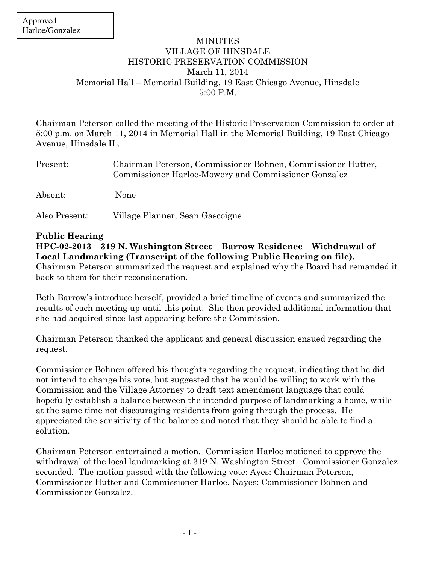#### MINUTES VILLAGE OF HINSDALE HISTORIC PRESERVATION COMMISSION March 11, 2014 Memorial Hall – Memorial Building, 19 East Chicago Avenue, Hinsdale 5:00 P.M.

Chairman Peterson called the meeting of the Historic Preservation Commission to order at 5:00 p.m. on March 11, 2014 in Memorial Hall in the Memorial Building, 19 East Chicago Avenue, Hinsdale IL.

| Present:      | Chairman Peterson, Commissioner Bohnen, Commissioner Hutter,<br>Commissioner Harloe-Mowery and Commissioner Gonzalez |
|---------------|----------------------------------------------------------------------------------------------------------------------|
| Absent:       | None                                                                                                                 |
| Also Present: | Village Planner, Sean Gascoigne                                                                                      |

### **Public Hearing**

**HPC-02-2013 – 319 N. Washington Street – Barrow Residence – Withdrawal of Local Landmarking (Transcript of the following Public Hearing on file).**  Chairman Peterson summarized the request and explained why the Board had remanded it back to them for their reconsideration.

Beth Barrow's introduce herself, provided a brief timeline of events and summarized the results of each meeting up until this point. She then provided additional information that she had acquired since last appearing before the Commission.

Chairman Peterson thanked the applicant and general discussion ensued regarding the request.

Commissioner Bohnen offered his thoughts regarding the request, indicating that he did not intend to change his vote, but suggested that he would be willing to work with the Commission and the Village Attorney to draft text amendment language that could hopefully establish a balance between the intended purpose of landmarking a home, while at the same time not discouraging residents from going through the process. He appreciated the sensitivity of the balance and noted that they should be able to find a solution.

Chairman Peterson entertained a motion. Commission Harloe motioned to approve the withdrawal of the local landmarking at 319 N. Washington Street. Commissioner Gonzalez seconded. The motion passed with the following vote: Ayes: Chairman Peterson, Commissioner Hutter and Commissioner Harloe. Nayes: Commissioner Bohnen and Commissioner Gonzalez.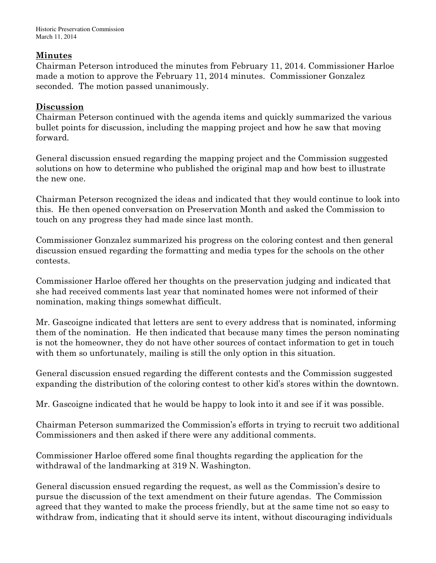## **Minutes**

Chairman Peterson introduced the minutes from February 11, 2014. Commissioner Harloe made a motion to approve the February 11, 2014 minutes. Commissioner Gonzalez seconded. The motion passed unanimously.

# **Discussion**

Chairman Peterson continued with the agenda items and quickly summarized the various bullet points for discussion, including the mapping project and how he saw that moving forward.

General discussion ensued regarding the mapping project and the Commission suggested solutions on how to determine who published the original map and how best to illustrate the new one.

Chairman Peterson recognized the ideas and indicated that they would continue to look into this. He then opened conversation on Preservation Month and asked the Commission to touch on any progress they had made since last month.

Commissioner Gonzalez summarized his progress on the coloring contest and then general discussion ensued regarding the formatting and media types for the schools on the other contests.

Commissioner Harloe offered her thoughts on the preservation judging and indicated that she had received comments last year that nominated homes were not informed of their nomination, making things somewhat difficult.

Mr. Gascoigne indicated that letters are sent to every address that is nominated, informing them of the nomination. He then indicated that because many times the person nominating is not the homeowner, they do not have other sources of contact information to get in touch with them so unfortunately, mailing is still the only option in this situation.

General discussion ensued regarding the different contests and the Commission suggested expanding the distribution of the coloring contest to other kid's stores within the downtown.

Mr. Gascoigne indicated that he would be happy to look into it and see if it was possible.

Chairman Peterson summarized the Commission's efforts in trying to recruit two additional Commissioners and then asked if there were any additional comments.

Commissioner Harloe offered some final thoughts regarding the application for the withdrawal of the landmarking at 319 N. Washington.

General discussion ensued regarding the request, as well as the Commission's desire to pursue the discussion of the text amendment on their future agendas. The Commission agreed that they wanted to make the process friendly, but at the same time not so easy to withdraw from, indicating that it should serve its intent, without discouraging individuals